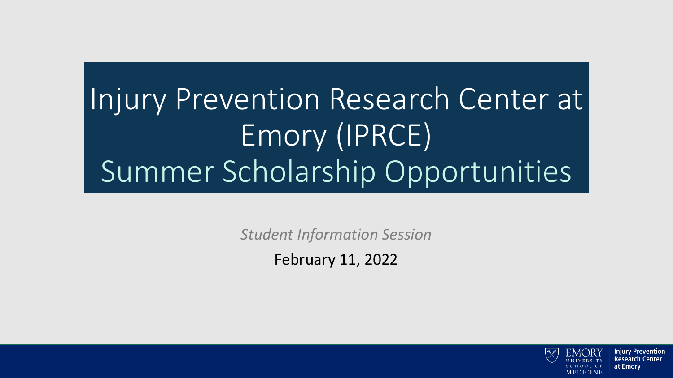## Injury Prevention Research Center at Emory (IPRCE) Summer Scholarship Opportunities

*Student Information Session* 

February 11, 2022

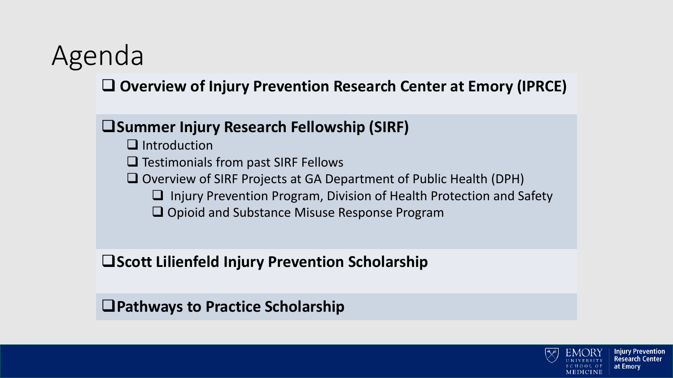### Agenda

❑ **Overview of Injury Prevention Research Center at Emory (IPRCE)** 

#### ❑**Summer Injury Research Fellowship (SIRF)**

- ❑ Introduction
- ❑ Testimonials from past SIRF Fellows
- ❑ Overview of SIRF Projects at GA Department of Public Health (DPH)
	- ❑ Injury Prevention Program, Division of Health Protection and Safety
	- ❑ Opioid and Substance Misuse Response Program

❑**Scott Lilienfeld Injury Prevention Scholarship**

❑**Pathways to Practice Scholarship**



Injury Prevention Research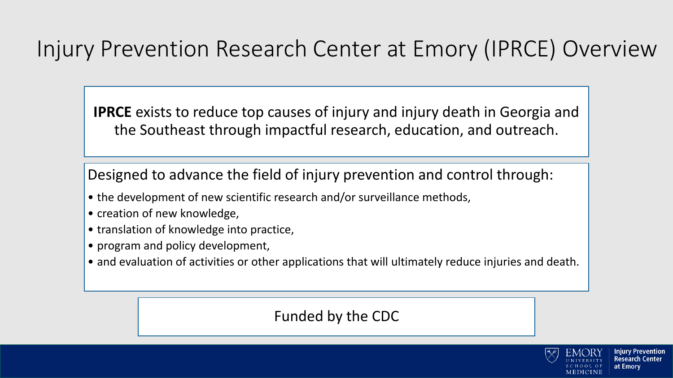### Injury Prevention Research Center at Emory (IPRCE) Overview

**IPRCE** exists to reduce top causes of injury and injury death in Georgia and the Southeast through impactful research, education, and outreach.

Designed to advance the field of injury prevention and control through:

- the development of new scientific research and/or surveillance methods,
- creation of new knowledge,
- translation of knowledge into practice,
- program and policy development,
- and evaluation of activities or other applications that will ultimately reduce injuries and death.

#### Funded by the CDC



at Emorv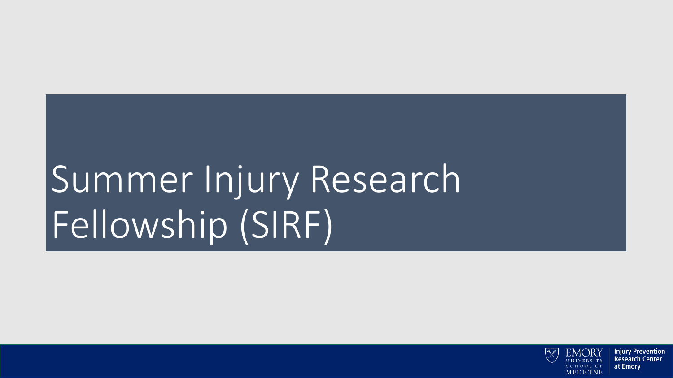# Summer Injury Research Fellowship (SIRF)

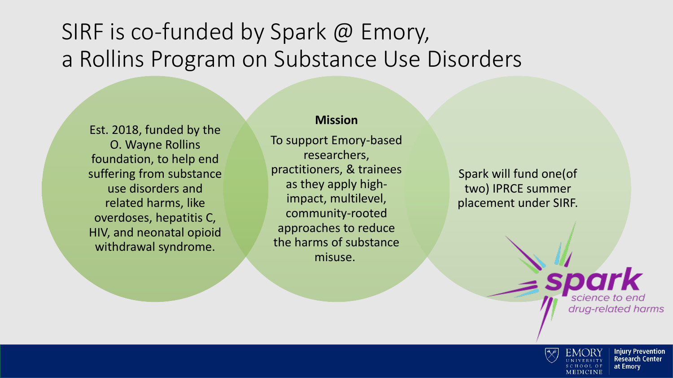### SIRF is co-funded by Spark @ Emory, a Rollins Program on Substance Use Disorders

Est. 2018, funded by the O. Wayne Rollins foundation, to help end suffering from substance use disorders and related harms, like overdoses, hepatitis C, HIV, and neonatal opioid withdrawal syndrome.

#### **Mission**

To support Emory-based researchers, practitioners, & trainees as they apply highimpact, multilevel, community-rooted approaches to reduce the harms of substance misuse.

Spark will fund one(of two) IPRCE summer placement under SIRF.

> cience to end drug-related harms

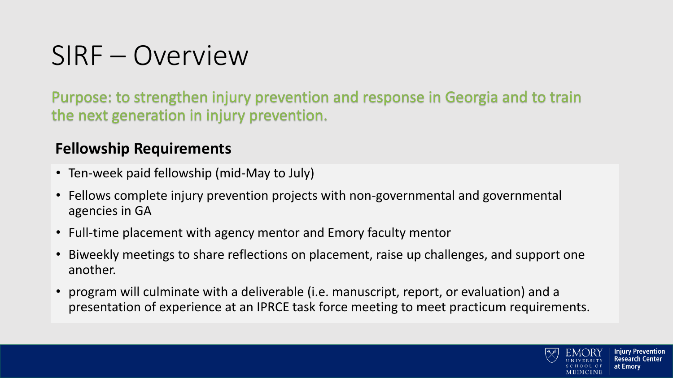### SIRF – Overview

Purpose: to strengthen injury prevention and response in Georgia and to train the next generation in injury prevention.

#### **Fellowship Requirements**

- Ten-week paid fellowship (mid-May to July)
- Fellows complete injury prevention projects with non-governmental and governmental agencies in GA
- Full-time placement with agency mentor and Emory faculty mentor
- Biweekly meetings to share reflections on placement, raise up challenges, and support one another.
- program will culminate with a deliverable (i.e. manuscript, report, or evaluation) and a presentation of experience at an IPRCE task force meeting to meet practicum requirements.

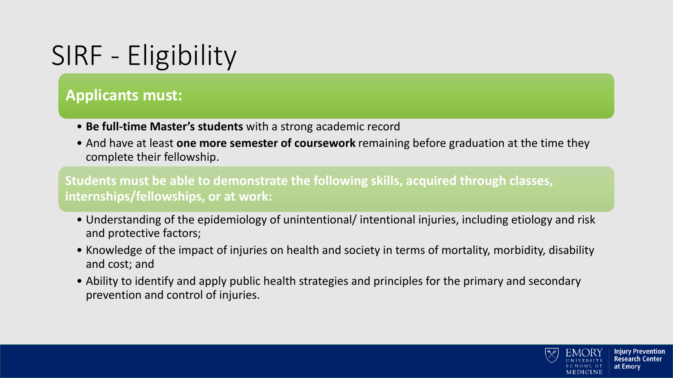### SIRF - Eligibility

#### **Applicants must:**

- **Be full-time Master's students** with a strong academic record
- And have at least **one more semester of coursework** remaining before graduation at the time they complete their fellowship.

**Students must be able to demonstrate the following skills, acquired through classes, internships/fellowships, or at work:** 

- Understanding of the epidemiology of unintentional/ intentional injuries, including etiology and risk and protective factors;
- Knowledge of the impact of injuries on health and society in terms of mortality, morbidity, disability and cost; and
- Ability to identify and apply public health strategies and principles for the primary and secondary prevention and control of injuries.

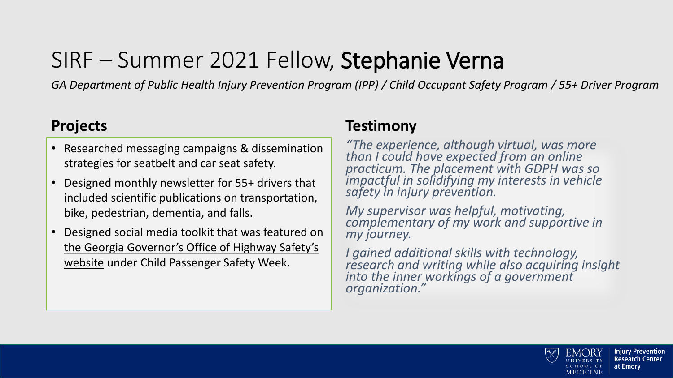### SIRF – Summer 2021 Fellow, Stephanie Verna

*GA Department of Public Health Injury Prevention Program (IPP) / Child Occupant Safety Program / 55+ Driver Program*

#### **Projects**

- Researched messaging campaigns & dissemination strategies for seatbelt and car seat safety.
- Designed monthly newsletter for 55+ drivers that included scientific publications on transportation, bike, pedestrian, dementia, and falls.
- Designed social media toolkit that was featured on [the Georgia Governor's Office of Highway Safety's](http://www.gahighwaysafety.org/child-passenger-safety/2021cpsweektoolkit)  website under Child Passenger Safety Week.

#### **Testimony**

*"The experience, although virtual, was more than I could have expected from an online practicum. The placement with GDPH was so impactful in solidifying my interests in vehicle safety in injury prevention.* 

*My supervisor was helpful, motivating, complementary of my work and supportive in my journey.* 

*I gained additional skills with technology, research and writing while also acquiring insight into the inner workings of a government organization."*

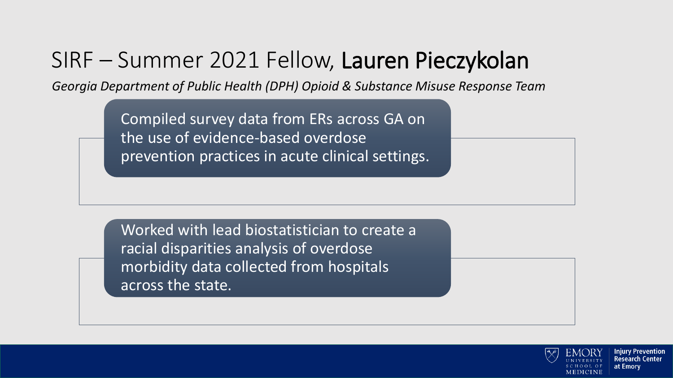### SIRF – Summer 2021 Fellow, Lauren Pieczykolan

*Georgia Department of Public Health (DPH) Opioid & Substance Misuse Response Team*

Compiled survey data from ERs across GA on the use of evidence-based overdose prevention practices in acute clinical settings.

Worked with lead biostatistician to create a racial disparities analysis of overdose morbidity data collected from hospitals across the state.



Iniurv Prevention Research at Emory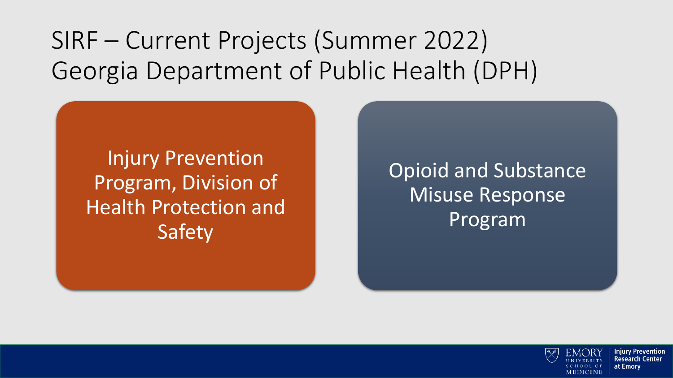SIRF – Current Projects (Summer 2022) Georgia Department of Public Health (DPH)

Injury Prevention Program, Division of Health Protection and Safety

Opioid and Substance Misuse Response Program

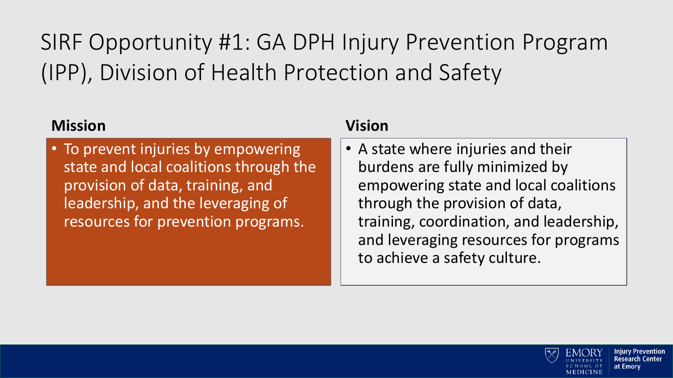SIRF Opportunity #1: GA DPH Injury Prevention Program (IPP), Division of Health Protection and Safety

| <b>Mission</b>                                                                                                                                                                               | <b>Vision</b>                                                                                                                                                                                                                                                       |
|----------------------------------------------------------------------------------------------------------------------------------------------------------------------------------------------|---------------------------------------------------------------------------------------------------------------------------------------------------------------------------------------------------------------------------------------------------------------------|
| • To prevent injuries by empowering<br>state and local coalitions through the<br>provision of data, training, and<br>leadership, and the leveraging of<br>resources for prevention programs. | • A state where injuries and their<br>burdens are fully minimized by<br>empowering state and local coalitions<br>through the provision of data,<br>training, coordination, and leadership,<br>and leveraging resources for programs<br>to achieve a safety culture. |

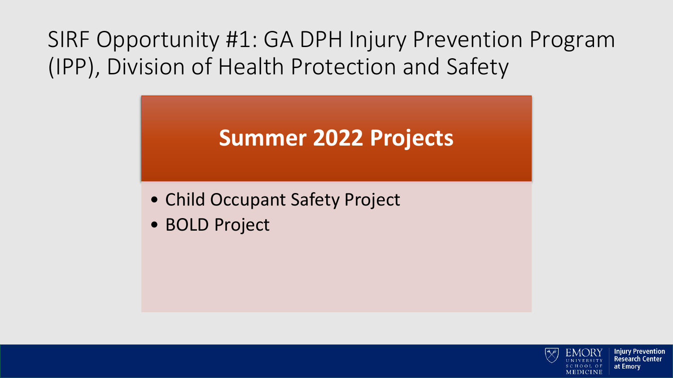SIRF Opportunity #1: GA DPH Injury Prevention Program (IPP), Division of Health Protection and Safety

### **Summer 2022 Projects**

- Child Occupant Safety Project
- BOLD Project

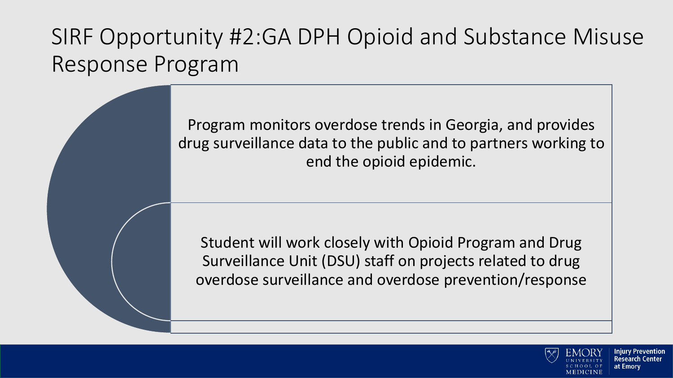### SIRF Opportunity #2:GA DPH Opioid and Substance Misuse Response Program

Program monitors overdose trends in Georgia, and provides drug surveillance data to the public and to partners working to end the opioid epidemic.

Student will work closely with Opioid Program and Drug Surveillance Unit (DSU) staff on projects related to drug overdose surveillance and overdose prevention/response



at Emorv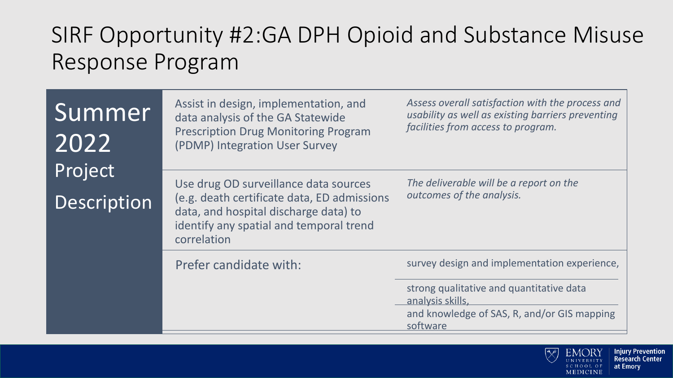### SIRF Opportunity #2:GA DPH Opioid and Substance Misuse Response Program

| Summer<br>2022 | Assist in design, implementation, and<br>data analysis of the GA Statewide<br><b>Prescription Drug Monitoring Program</b><br>(PDMP) Integration User Survey | Assess overall satisfaction with the process and<br>usability as well as existing barriers preventing<br>facilities from access to program. |  |
|----------------|-------------------------------------------------------------------------------------------------------------------------------------------------------------|---------------------------------------------------------------------------------------------------------------------------------------------|--|
| Project        | Use drug OD surveillance data sources                                                                                                                       | The deliverable will be a report on the<br>outcomes of the analysis.                                                                        |  |
| Description    | (e.g. death certificate data, ED admissions<br>data, and hospital discharge data) to<br>identify any spatial and temporal trend<br>correlation              |                                                                                                                                             |  |
|                | Prefer candidate with:                                                                                                                                      | survey design and implementation experience,                                                                                                |  |
|                |                                                                                                                                                             | strong qualitative and quantitative data<br>analysis skills,                                                                                |  |
|                |                                                                                                                                                             | and knowledge of SAS, R, and/or GIS mapping<br>software                                                                                     |  |

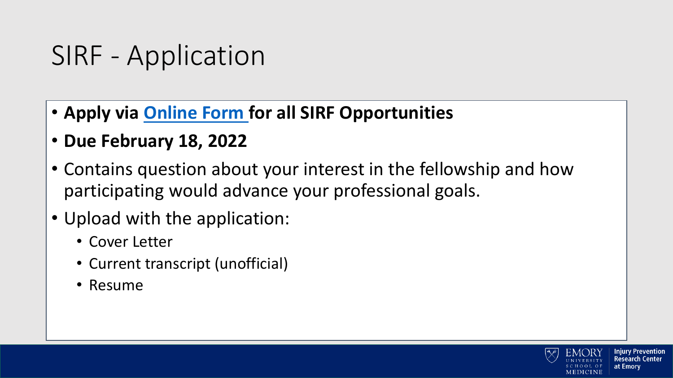### SIRF - Application

- **Apply via [Online Form f](https://rsph.co1.qualtrics.com/jfe/form/SV_bkL6ffAkx8WXMOO)or all SIRF Opportunities**
- **Due February 18, 2022**
- Contains question about your interest in the fellowship and how participating would advance your professional goals.
- Upload with the application:
	- Cover Letter
	- Current transcript (unofficial)
	- Resume

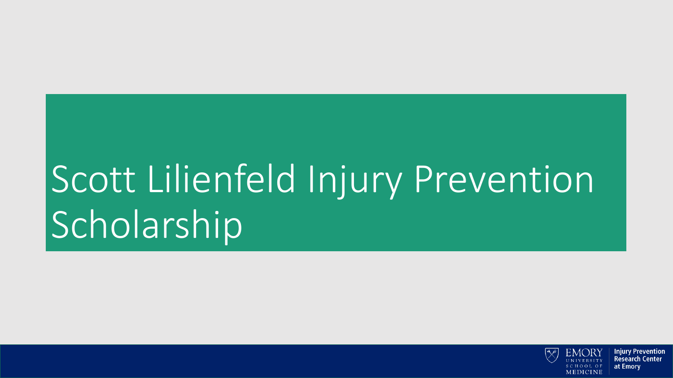# Scott Lilienfeld Injury Prevention Scholarship

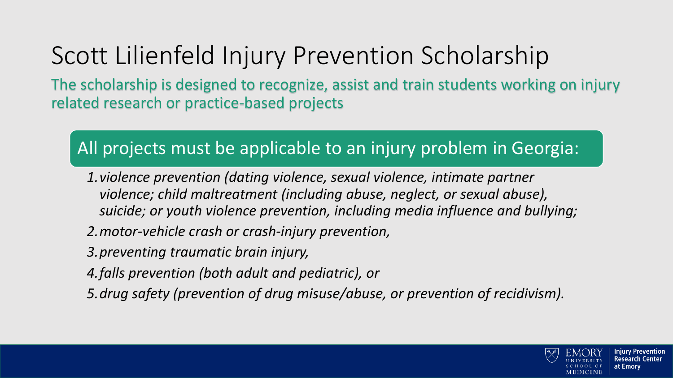### Scott Lilienfeld Injury Prevention Scholarship

The scholarship is designed to recognize, assist and train students working on injury related research or practice-based projects

#### All projects must be applicable to an injury problem in Georgia:

- *1.violence prevention (dating violence, sexual violence, intimate partner violence; child maltreatment (including abuse, neglect, or sexual abuse), suicide; or youth violence prevention, including media influence and bullying;*
- *2.motor-vehicle crash or crash-injury prevention,*
- *3.preventing traumatic brain injury,*
- *4.falls prevention (both adult and pediatric), or*
- *5.drug safety (prevention of drug misuse/abuse, or prevention of recidivism).*

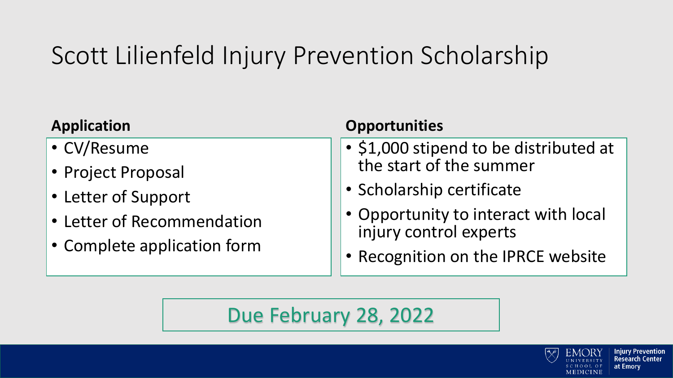### Scott Lilienfeld Injury Prevention Scholarship

| <b>Application</b>          | <b>Opportunities</b>                   |  |
|-----------------------------|----------------------------------------|--|
| • CV/Resume                 | • \$1,000 stipend to be distributed at |  |
| • Project Proposal          | the start of the summer                |  |
| • Letter of Support         | • Scholarship certificate              |  |
| • Letter of Recommendation  | • Opportunity to interact with local   |  |
| • Complete application form | injury control experts                 |  |
|                             | • Recognition on the IPRCE website     |  |
|                             |                                        |  |

### Due February 28, 2022



**Injury Prevention** 

**Research Center** 

at Emory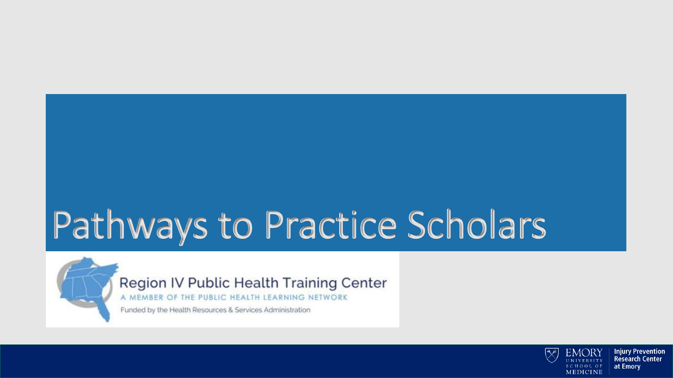## Pathways to Practice Scholars



Region IV Public Health Training Center

A MEMBER OF THE PUBLIC HEALTH LEARNING NETWORK

Funded by the Health Resources & Services Administration

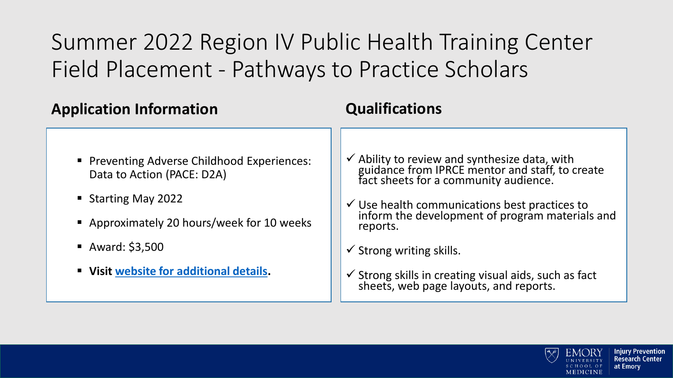### Summer 2022 Region IV Public Health Training Center Field Placement - Pathways to Practice Scholars

| <b>Application Information</b>                                                                                                                                                                               | <b>Qualifications</b>                                                                                                                                                                                                                                                                                                                                                                                                  |
|--------------------------------------------------------------------------------------------------------------------------------------------------------------------------------------------------------------|------------------------------------------------------------------------------------------------------------------------------------------------------------------------------------------------------------------------------------------------------------------------------------------------------------------------------------------------------------------------------------------------------------------------|
| • Preventing Adverse Childhood Experiences:<br>Data to Action (PACE: D2A)<br>■ Starting May 2022<br>• Approximately 20 hours/week for 10 weeks<br>Award: $$3,500$<br>" Visit website for additional details. | $\checkmark$ Ability to review and synthesize data, with<br>guidance from IPRCE mentor and staff, to create<br>fact sheets for a community audience.<br>$\checkmark$ Use health communications best practices to<br>inform the development of program materials and<br>reports.<br>$\checkmark$ Strong writing skills.<br>✔ Strong skills in creating visual aids, such as fact sheets, web page layouts, and reports. |